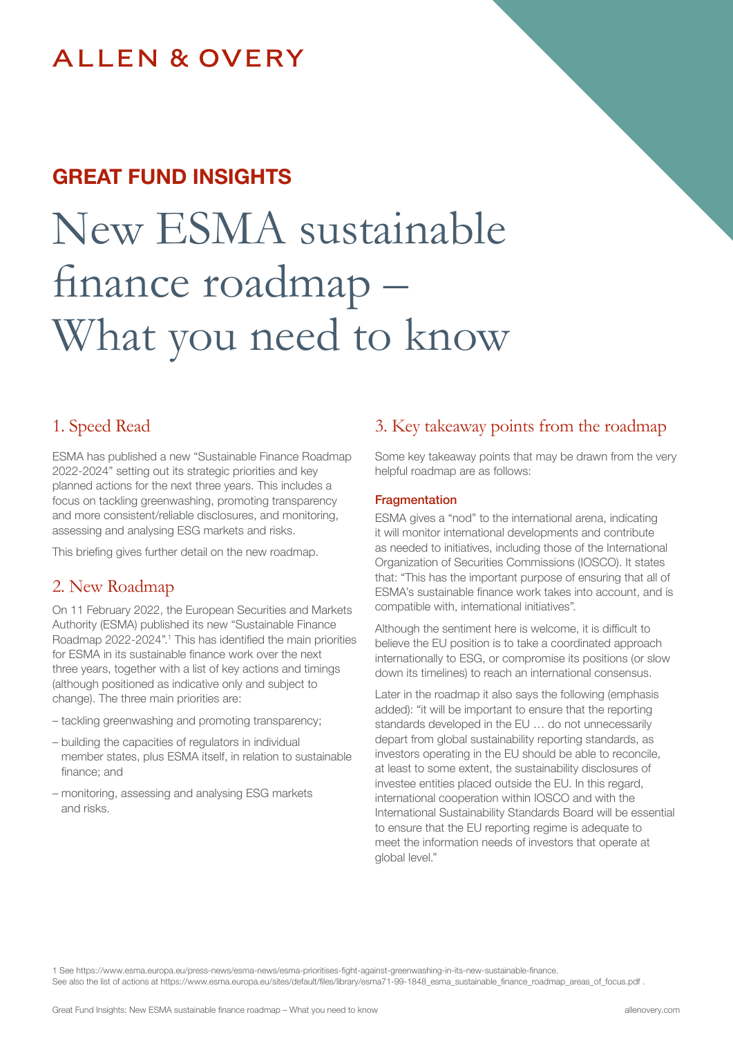# **ALLEN & OVERY**

# GREAT FUND INSIGHTS

# New ESMA sustainable finance roadmap – What you need to know

### 1. Speed Read

ESMA has published a new "Sustainable Finance Roadmap 2022-2024" setting out its strategic priorities and key planned actions for the next three years. This includes a focus on tackling greenwashing, promoting transparency and more consistent/reliable disclosures, and monitoring, assessing and analysing ESG markets and risks.

This briefing gives further detail on the new roadmap.

## 2. New Roadmap

On 11 February 2022, the European Securities and Markets Authority (ESMA) published its new "Sustainable Finance Roadmap 2022-2024".1 This has identified the main priorities for ESMA in its sustainable finance work over the next three years, together with a list of key actions and timings (although positioned as indicative only and subject to change). The three main priorities are:

- tackling greenwashing and promoting transparency;
- building the capacities of regulators in individual member states, plus ESMA itself, in relation to sustainable finance; and
- monitoring, assessing and analysing ESG markets and risks.

## 3. Key takeaway points from the roadmap

Some key takeaway points that may be drawn from the very helpful roadmap are as follows:

#### **Fragmentation**

ESMA gives a "nod" to the international arena, indicating it will monitor international developments and contribute as needed to initiatives, including those of the International Organization of Securities Commissions (IOSCO). It states that: "This has the important purpose of ensuring that all of ESMA's sustainable finance work takes into account, and is compatible with, international initiatives".

Although the sentiment here is welcome, it is difficult to believe the EU position is to take a coordinated approach internationally to ESG, or compromise its positions (or slow down its timelines) to reach an international consensus.

Later in the roadmap it also says the following (emphasis added): "it will be important to ensure that the reporting standards developed in the EU … do not unnecessarily depart from global sustainability reporting standards, as investors operating in the EU should be able to reconcile, at least to some extent, the sustainability disclosures of investee entities placed outside the EU. In this regard, international cooperation within IOSCO and with the International Sustainability Standards Board will be essential to ensure that the EU reporting regime is adequate to meet the information needs of investors that operate at global level."

1 See https://www.esma.europa.eu/press-news/esma-news/esma-prioritises-fight-against-greenwashing-in-its-new-sustainable-finance. See also the list of actions at https://www.esma.europa.eu/sites/default/files/library/esma71-99-1848\_esma\_sustainable\_finance\_roadmap\_areas\_of\_focus.pdf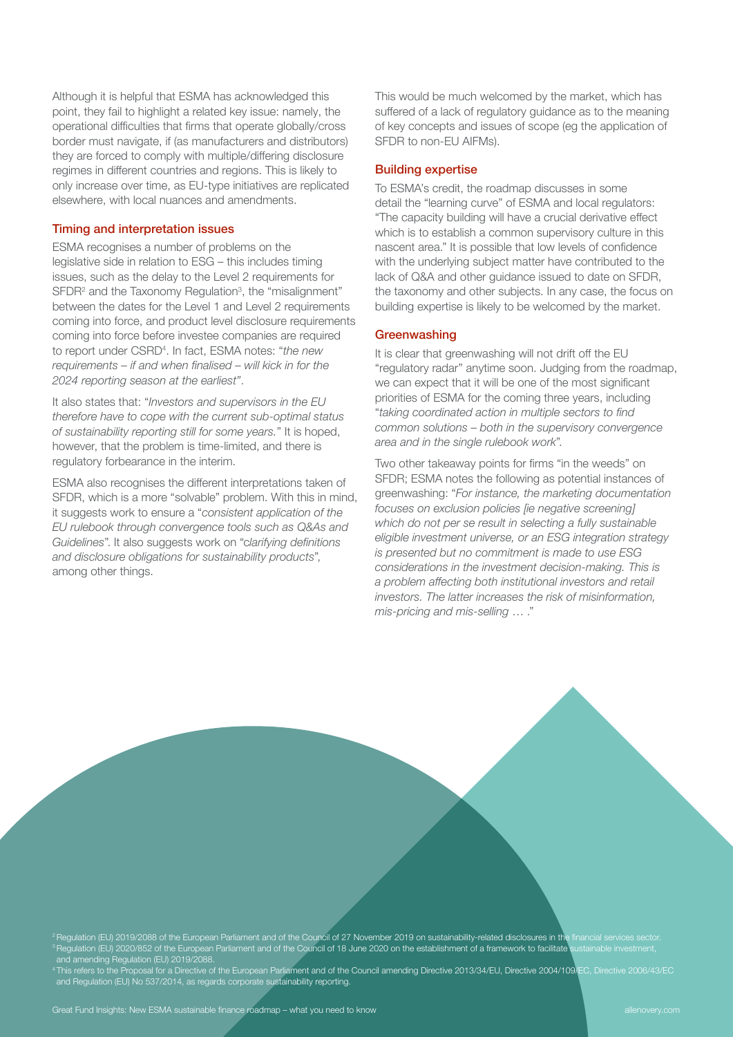Although it is helpful that ESMA has acknowledged this point, they fail to highlight a related key issue: namely, the operational difficulties that firms that operate globally/cross border must navigate, if (as manufacturers and distributors) they are forced to comply with multiple/differing disclosure regimes in different countries and regions. This is likely to only increase over time, as EU-type initiatives are replicated elsewhere, with local nuances and amendments.

#### Timing and interpretation issues

ESMA recognises a number of problems on the legislative side in relation to ESG – this includes timing issues, such as the delay to the Level 2 requirements for SFDR<sup>2</sup> and the Taxonomy Regulation<sup>3</sup>, the "misalignment" between the dates for the Level 1 and Level 2 requirements coming into force, and product level disclosure requirements coming into force before investee companies are required to report under CSRD4 . In fact, ESMA notes: "*the new*  requirements – if and when finalised – will kick in for the 2024 reporting season at the earliest".

It also states that: "Investors and supervisors in the EU therefore have to cope with the current sub-optimal status of sustainability reporting still for some years." It is hoped, however, that the problem is time-limited, and there is regulatory forbearance in the interim.

ESMA also recognises the different interpretations taken of SFDR, which is a more "solvable" problem. With this in mind, it suggests work to ensure a "consistent application of the EU rulebook through convergence tools such as Q&As and Guidelines". It also suggests work on "clarifying definitions and disclosure obligations for sustainability products", among other things.

This would be much welcomed by the market, which has suffered of a lack of regulatory guidance as to the meaning of key concepts and issues of scope (eg the application of SFDR to non-EU AIFMs).

#### Building expertise

To ESMA's credit, the roadmap discusses in some detail the "learning curve" of ESMA and local regulators: "The capacity building will have a crucial derivative effect which is to establish a common supervisory culture in this nascent area." It is possible that low levels of confidence with the underlying subject matter have contributed to the lack of Q&A and other guidance issued to date on SFDR, the taxonomy and other subjects. In any case, the focus on building expertise is likely to be welcomed by the market.

#### **Greenwashing**

It is clear that greenwashing will not drift off the EU "regulatory radar" anytime soon. Judging from the roadmap, we can expect that it will be one of the most significant priorities of ESMA for the coming three years, including "taking coordinated action in multiple sectors to find common solutions – both in the supervisory convergence area and in the single rulebook work".

Two other takeaway points for firms "in the weeds" on SFDR; ESMA notes the following as potential instances of greenwashing: "For instance, the marketing documentation focuses on exclusion policies [ie negative screening] which do not per se result in selecting a fully sustainable eligible investment universe, or an ESG integration strategy is presented but no commitment is made to use ESG considerations in the investment decision-making. This is a problem affecting both institutional investors and retail investors. The latter increases the risk of misinformation, mis-pricing and mis-selling … ."

e Regulation (EU) 2019/2088 of the European Parliament and of the Council of 27 November 2019 on sustainability-related disclosures in the financial services sector.  $^3$  Regulation (EU) 2020/852 of the European Parliament and of the Council of 18 June 2020 on the establishment of a framework to facilitate sustainable investment, and amending Regulation (EU) 2019/2088.

<sup>4</sup>This refers to the Proposal for a Directive of the European Parliament and of the Council amending Directive 2013/34/EU, Directive 2004/109/EC, Directive 2006/43/EC and Regulation (EU) No 537/2014, as regards corporate sustainability reporting.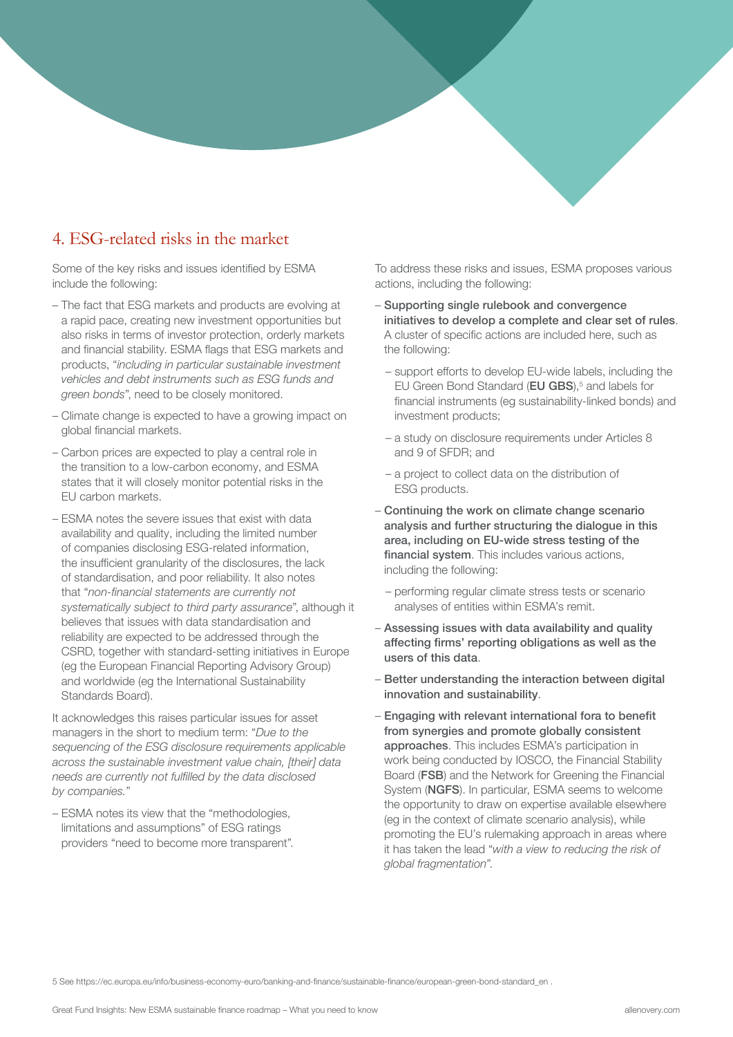# 4. ESG-related risks in the market

Some of the key risks and issues identified by ESMA include the following:

- The fact that ESG markets and products are evolving at a rapid pace, creating new investment opportunities but also risks in terms of investor protection, orderly markets and financial stability. ESMA flags that ESG markets and products, "including in particular sustainable investment vehicles and debt instruments such as ESG funds and green bonds", need to be closely monitored.
- Climate change is expected to have a growing impact on global financial markets.
- Carbon prices are expected to play a central role in the transition to a low-carbon economy, and ESMA states that it will closely monitor potential risks in the EU carbon markets.
- ESMA notes the severe issues that exist with data availability and quality, including the limited number of companies disclosing ESG-related information, the insufficient granularity of the disclosures, the lack of standardisation, and poor reliability. It also notes that "non-financial statements are currently not systematically subject to third party assurance", although it believes that issues with data standardisation and reliability are expected to be addressed through the CSRD, together with standard-setting initiatives in Europe (eg the European Financial Reporting Advisory Group) and worldwide (eg the International Sustainability Standards Board).

It acknowledges this raises particular issues for asset managers in the short to medium term: "Due to the sequencing of the ESG disclosure requirements applicable across the sustainable investment value chain, [their] data needs are currently not fulfilled by the data disclosed by companies."

– ESMA notes its view that the "methodologies, limitations and assumptions" of ESG ratings providers "need to become more transparent".

To address these risks and issues, ESMA proposes various actions, including the following:

- Supporting single rulebook and convergence initiatives to develop a complete and clear set of rules. A cluster of specific actions are included here, such as the following:
	- support efforts to develop EU-wide labels, including the EU Green Bond Standard ( $EU GBS$ ),<sup>5</sup> and labels for financial instruments (eg sustainability-linked bonds) and investment products;
	- a study on disclosure requirements under Articles 8 and 9 of SFDR; and
	- a project to collect data on the distribution of ESG products.
- Continuing the work on climate change scenario analysis and further structuring the dialogue in this area, including on EU-wide stress testing of the financial system. This includes various actions, including the following:
	- performing regular climate stress tests or scenario analyses of entities within ESMA's remit.
- Assessing issues with data availability and quality affecting firms' reporting obligations as well as the users of this data.
- Better understanding the interaction between digital innovation and sustainability.
- Engaging with relevant international fora to benefit from synergies and promote globally consistent approaches. This includes ESMA's participation in work being conducted by IOSCO, the Financial Stability Board (FSB) and the Network for Greening the Financial System (NGFS). In particular, ESMA seems to welcome the opportunity to draw on expertise available elsewhere (eg in the context of climate scenario analysis), while promoting the EU's rulemaking approach in areas where it has taken the lead "with a view to reducing the risk of global fragmentation".

5 See https://ec.europa.eu/info/business-economy-euro/banking-and-finance/sustainable-finance/european-green-bond-standard\_en .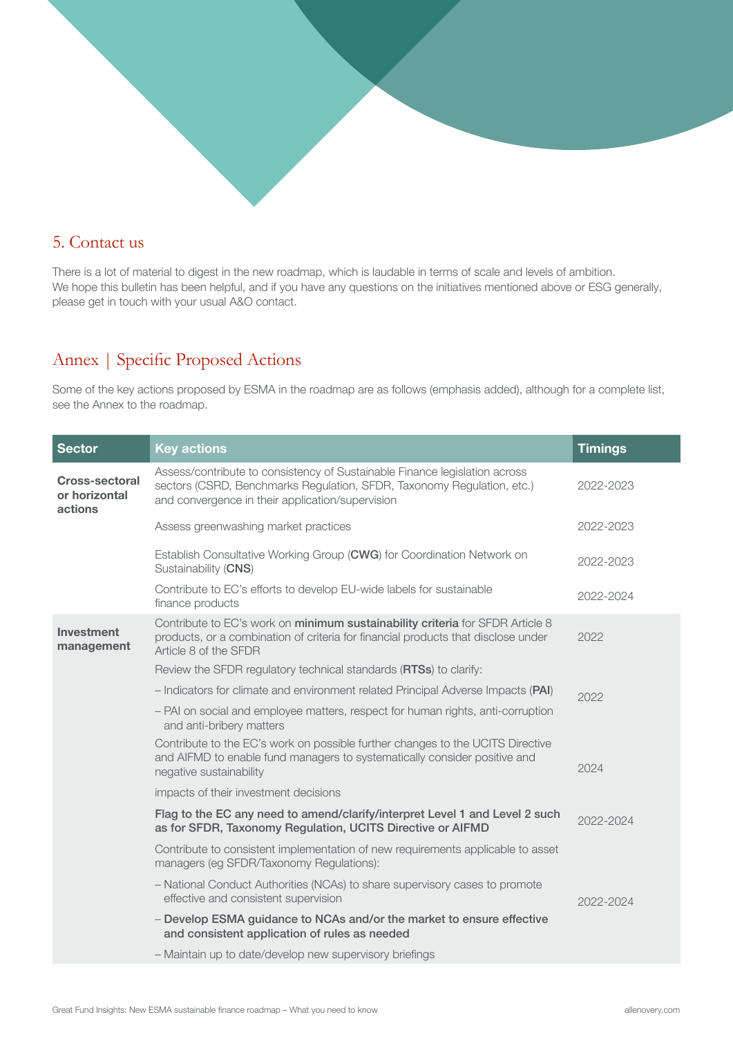

# 5. Contact us

There is a lot of material to digest in the new roadmap, which is laudable in terms of scale and levels of ambition. We hope this bulletin has been helpful, and if you have any questions on the initiatives mentioned above or ESG generally, please get in touch with your usual A&O contact.

# Annex | Specific Proposed Actions

Some of the key actions proposed by ESMA in the roadmap are as follows (emphasis added), although for a complete list, see the Annex to the roadmap.

| <b>Sector</b>                                     | <b>Key actions</b>                                                                                                                                                                                       | <b>Timings</b> |
|---------------------------------------------------|----------------------------------------------------------------------------------------------------------------------------------------------------------------------------------------------------------|----------------|
| <b>Cross-sectoral</b><br>or horizontal<br>actions | Assess/contribute to consistency of Sustainable Finance legislation across<br>sectors (CSRD, Benchmarks Regulation, SFDR, Taxonomy Regulation, etc.)<br>and convergence in their application/supervision | 2022-2023      |
|                                                   | Assess greenwashing market practices                                                                                                                                                                     | 2022-2023      |
|                                                   | Establish Consultative Working Group (CWG) for Coordination Network on<br>Sustainability (CNS)                                                                                                           | 2022-2023      |
|                                                   | Contribute to EC's efforts to develop EU-wide labels for sustainable<br>finance products                                                                                                                 | 2022-2024      |
| Investment<br>management                          | Contribute to EC's work on minimum sustainability criteria for SFDR Article 8<br>products, or a combination of criteria for financial products that disclose under<br>Article 8 of the SFDR              | 2022           |
|                                                   | Review the SFDR regulatory technical standards (RTSs) to clarify:                                                                                                                                        |                |
|                                                   | - Indicators for climate and environment related Principal Adverse Impacts (PAI)                                                                                                                         | 2022           |
|                                                   | - PAI on social and employee matters, respect for human rights, anti-corruption<br>and anti-bribery matters                                                                                              |                |
|                                                   | Contribute to the EC's work on possible further changes to the UCITS Directive<br>and AIFMD to enable fund managers to systematically consider positive and<br>negative sustainability                   | 2024           |
|                                                   | impacts of their investment decisions                                                                                                                                                                    |                |
|                                                   | Flag to the EC any need to amend/clarify/interpret Level 1 and Level 2 such<br>as for SFDR, Taxonomy Regulation, UCITS Directive or AIFMD                                                                | 2022-2024      |
|                                                   | Contribute to consistent implementation of new requirements applicable to asset<br>managers (eg SFDR/Taxonomy Regulations):                                                                              |                |
|                                                   | - National Conduct Authorities (NCAs) to share supervisory cases to promote<br>effective and consistent supervision                                                                                      | 2022-2024      |
|                                                   | - Develop ESMA guidance to NCAs and/or the market to ensure effective<br>and consistent application of rules as needed                                                                                   |                |
|                                                   | - Maintain up to date/develop new supervisory briefings                                                                                                                                                  |                |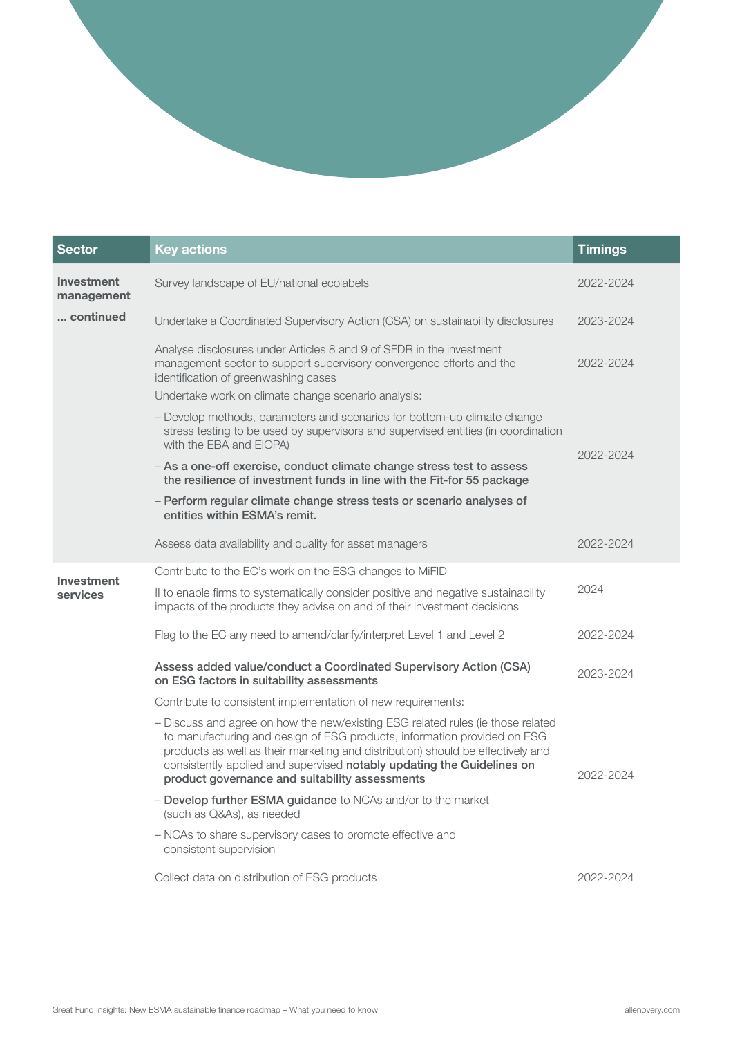| <b>Sector</b>            | <b>Key actions</b>                                                                                                                                                                                                                                                                                                                                                         | <b>Timings</b> |
|--------------------------|----------------------------------------------------------------------------------------------------------------------------------------------------------------------------------------------------------------------------------------------------------------------------------------------------------------------------------------------------------------------------|----------------|
| Investment<br>management | Survey landscape of EU/national ecolabels                                                                                                                                                                                                                                                                                                                                  | 2022-2024      |
| continued                | Undertake a Coordinated Supervisory Action (CSA) on sustainability disclosures                                                                                                                                                                                                                                                                                             | 2023-2024      |
|                          | Analyse disclosures under Articles 8 and 9 of SFDR in the investment<br>management sector to support supervisory convergence efforts and the<br>identification of greenwashing cases                                                                                                                                                                                       | 2022-2024      |
|                          | Undertake work on climate change scenario analysis:                                                                                                                                                                                                                                                                                                                        |                |
|                          | - Develop methods, parameters and scenarios for bottom-up climate change<br>stress testing to be used by supervisors and supervised entities (in coordination<br>with the EBA and EIOPA)                                                                                                                                                                                   | 2022-2024      |
|                          | - As a one-off exercise, conduct climate change stress test to assess<br>the resilience of investment funds in line with the Fit-for 55 package                                                                                                                                                                                                                            |                |
|                          | - Perform regular climate change stress tests or scenario analyses of<br>entities within ESMA's remit.                                                                                                                                                                                                                                                                     |                |
|                          | Assess data availability and quality for asset managers                                                                                                                                                                                                                                                                                                                    | 2022-2024      |
| Investment               | Contribute to the EC's work on the ESG changes to MiFID                                                                                                                                                                                                                                                                                                                    |                |
| services                 | Il to enable firms to systematically consider positive and negative sustainability<br>impacts of the products they advise on and of their investment decisions                                                                                                                                                                                                             | 2024           |
|                          | Flag to the EC any need to amend/clarify/interpret Level 1 and Level 2                                                                                                                                                                                                                                                                                                     | 2022-2024      |
|                          | Assess added value/conduct a Coordinated Supervisory Action (CSA)<br>on ESG factors in suitability assessments                                                                                                                                                                                                                                                             | 2023-2024      |
|                          | Contribute to consistent implementation of new requirements:                                                                                                                                                                                                                                                                                                               |                |
|                          | - Discuss and agree on how the new/existing ESG related rules (ie those related<br>to manufacturing and design of ESG products, information provided on ESG<br>products as well as their marketing and distribution) should be effectively and<br>consistently applied and supervised notably updating the Guidelines on<br>product governance and suitability assessments | 2022-2024      |
|                          | - Develop further ESMA guidance to NCAs and/or to the market<br>(such as Q&As), as needed                                                                                                                                                                                                                                                                                  |                |
|                          | - NCAs to share supervisory cases to promote effective and<br>consistent supervision                                                                                                                                                                                                                                                                                       |                |
|                          | Collect data on distribution of ESG products                                                                                                                                                                                                                                                                                                                               | 2022-2024      |